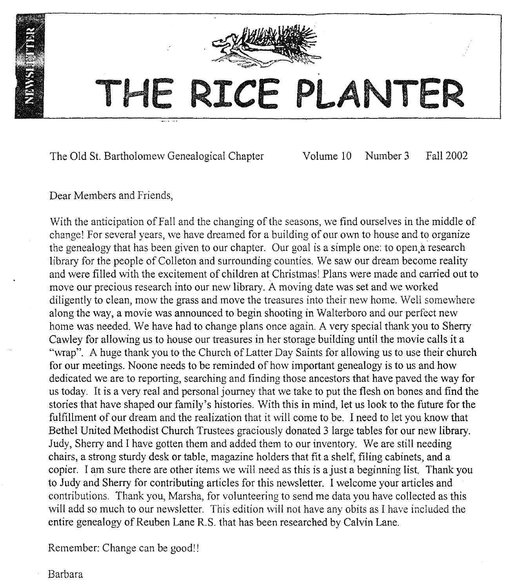

The Old St. Bartholomew Genealogical Chapter

Volume 10 Number 3 Fall 2002

Dear Members and Friends,

With the anticipation of Fall and the changing of the seasons, we find ourselves in the middle of change! For several years, we have dreamed for a building of our own to house and to organize the genealogy that has been given to our chapter. Our goal is a simple one: to open, a research library for the people of Colleton and surrounding counties. We saw our dream become reality and were filled with the excitement of children at Christmas! Plans were made and carried out to move our precious research into our new library. A moving date was set and we worked diligently to clean, mow the grass and move the treasures into their new home. Well somewhere along the way, a movie was announced to begin shooting in Walterboro and our perfect new home was needed. We have had to change plans once again. A very special thank you to Sherry Cawley for allowing us to house our treasures in her storage building until the movie calls it a "wrap". A huge thank you to the Church of Latter Day Saints for allowing us to use their church for our meetings. Noone needs to be reminded of how important genealogy is to us and how dedicated we are to reporting, searching and finding those ancestors that have paved the way for us today. It is a very real and personal journey that we take to put the flesh on bones and find the stories that have shaped our family's histories. With this in mind, let us look to the future for the fulfillment of our dream and the realization that it will come to be. I need to let you know that Bethel United Methodist Church Trustees graciously donated 3 large tables for our new library. Judy, Sherry and I have gotten them and added them to our inventory. We are still needing chairs, a strong sturdy desk or table, magazine holders that fit a shelf, filing cabinets, and a copier. I am sure there are other items we will need as this is a just a beginning list. Thank you to Judy and Sherry for contributing articles for this newsletter. I welcome your articles and contributions. Thank you, Marsha, for volunteering to send me data you have collected as this will add so much to our newsletter. This edition will not have any obits as I have included the entire genealogy of Reuben Lane R.S. that has been researched by Calvin Lane.

Remember: Change can be good!!

Barbara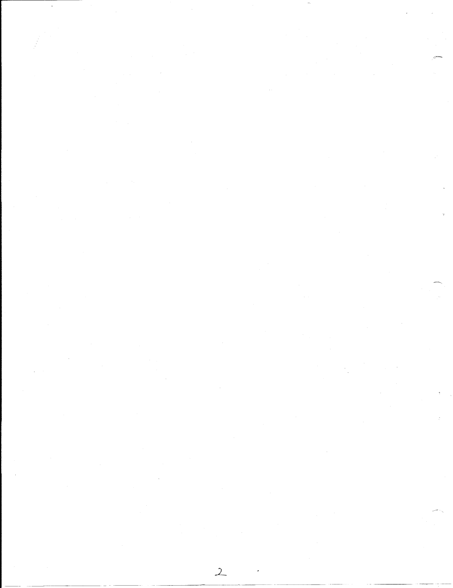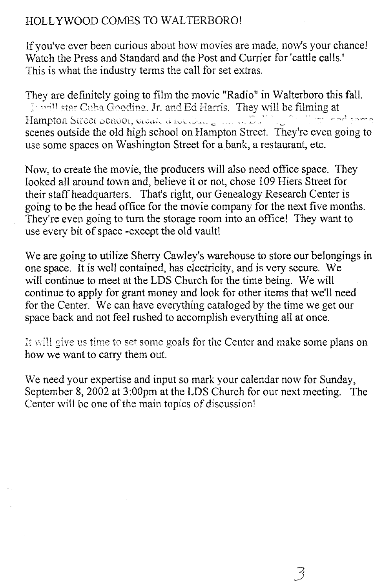## HOLL YWOOD COMES TO WAL TERBOROl

If you've ever been curious about how movies are made, now's your chance! Watch the Press and Standard and the Post and Currier for 'cattle calls.' This is what the industry terms the call for set extras.

They are definitely going to film the movie "Radio" in Walterboro this fall. It will star Cuba Gooding, Jr. and Ed Harris. They will be filming at  $Hampton Street School, or each of a row. The  $\ldots$   $\ldots$$ scenes outside the old high school on Hampton Street. They're even going to use some spaces on Washington Street for a bank, a restaurant, etc.

Now, to create the movie, the producers will also need office space. They looked all around town and, believe it or not, chose 109 Hiers Street for their staff headquarters. That's right, our Genealogy Research Center is going to be the head office for the movie company for the next five months. They're even going to turn the storage room into an office! They want to use every bit of space -except the old vault!

We are going to utilize Sherry Cawley's warehouse to store our belongings in one space. It is well contained, has electricity, and is very secure. We will continue to meet at the LDS Church for the time being, We will continue to apply for grant money and look for other items that we'll need for the Center. We can have everything cataloged by the time we get our space back and not feel rushed to accomplish everything all at once.

It will give us time to set some goals for the Center and make some plans on how we want to carry them out.

We need your expertise and input so mark your calendar now for Sunday, September 8, 2002 at 3:00pm at the LDS Church for our next meeting. The Center will be one of the main topics of discussion!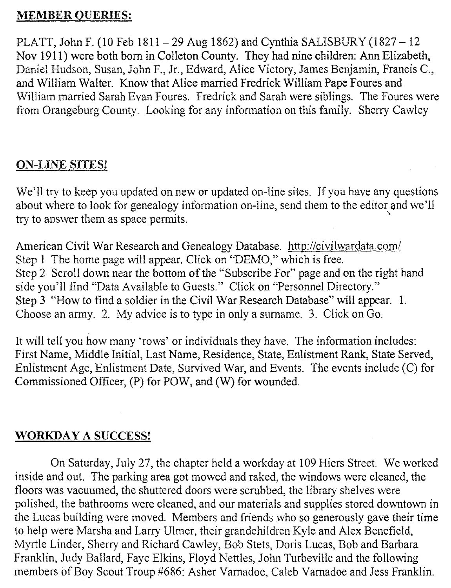## MEMBER QUERIES:

PLATT, John F. (10 Feb  $1811 - 29$  Aug 1862) and Cynthia SALISBURY (1827 - 12 Nov 1911) were both born in Colleton County. They had nine children: Ann Elizabeth, Daniel Hudson, Susan, John F., Jr., Edward, Alice Victory, James Benjamin, Francis C., and William Walter. Know that Alice married Fredrick William Pape Foures and William married Sarah Evan Foures. Fredrick and Sarah were siblings. The Foures were from Orangeburg County. Looking for any information on this family. Sherry Cawley

## ON-LINE SITES!

We'll try to keep you updated on new or updated on-line sites. If you have any questions about where to look for genealogy information on-line, send them to the editor and we'll try to answer them as space permits.

American Civil War Research and Genealogy Database. http://civilwardata.com/ Step 1 The home page will appear. Click on "DEMO," which is free. Step 2 Scroll down near the bottom of the "Subscribe For" page and on the right hand side you'll find "Data Available to Guests." Click on "Personnel Directory." Step 3 "How to find a soldier in the Civil War Research Database" will appear. 1. Choose an army. 2. My advice is to type in only a surname. 3. Click on Go.

It will tell you how many 'rows' or individuals they have. The information includes: First Name, Middle Initial, Last Name, Residence, State, Enlistment Rank, State Served, Enlistment Age, Enlistment Date, Survived War, and Events. The events include (C) for Commissioned Officer, (P) for POW, and (W) for wounded.

## **\VORKDA Y** A SUCCESS!

On Saturday, July 27, the chapter held a workday at 109 Hiers Street. We worked inside and out. The parking area got mowed and raked, the windows were cleaned, the floors was vacuumed, the shuttered doors were scrubbed, the library shelves were polished, the bathrooms were cleaned, and our materials and supplies stored downtown in the Lucas building were moved. Members and friends \vho so generously gave their time to help were Marsha and Larry Ulmer, their grandchildren Kyle and Alex Benefield, Myrtle Linder, Sherry and Richard Cawley, Bob Stets, Doris Lucas, Bob and Barbara Franklin, Judy Ballard, Faye Elkins, Floyd Nettles, John Turbeville and the following members of Boy Scout Troup #686: Asher Varnadoe, Caleb Varnadoe and Jess Franklin.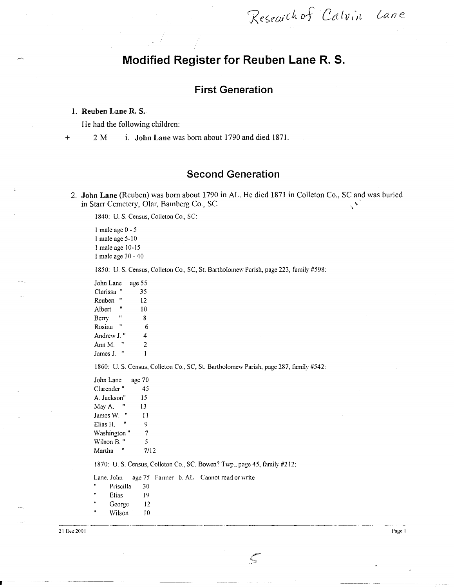Research of Calvin Lane

# **Modified Register for Reuben Lane R. S.**

## **First Generation**

1. Reuben Lane R. S..

He had the following children:

+ 2 M i. John Lane was born about 1790 and died 1871.

## **Second Generation**

2. John Lane (Reuben) was born about 1790 in AL. He died 1871 in Colleton Co., SC and was buried in Starr Cemetery, Olar, Bamberg Co., SC. in Starr Cemetery, Olar, Bamberg Co., Sc. \' .

1840: U. S. Census, Colleton Co., SC:

I male age 0 - 5 I male age 5-10 1 male age 10-15 1 male age 30 - 40

1850: U. S. Census, Colleton Co., SC, St. Bartholomew Parish, page 223, family #598:

John Lane Clarissa " Reuben " Albert Berry Rosina " Andrew J. " AnnM. " James J. " age 55 35 12 10 8 6 4 2 1

1860: U. S. Census, Colleton Co., SC, St. Bartholomew Parish, page 287, family #542:

John Lane Clarender" A. Jackson" May A. James W. " Elias H. Washington" Wilson B." Martha " age 70 45 15 13 II 9 7 5 7/12

1870: U. S. Census, CoHeton Co., SC, Bowen? Twp., page 45, family #212:

 $\zeta$ 

Lane, John age 75 Farmer b. AL Cannot read or write

Priscilla 30

- Elias 19
- George 12
- Wilson 10

2 I Dee 200 I Page 1 Page 1 Page I Page I Page I Page I Page I Page I Page I Page I Page I Page I Page I Page I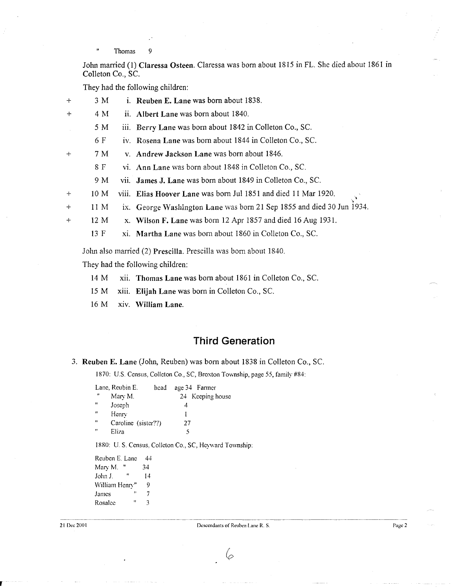Thomas 9

John married (1) Claressa Osteen. Claressa was born about 1815 in FL. She died about 1861 in Colleton Co., SC.

They had the following children:

| $+$ | 3 M             | i. Reuben E. Lane was born about 1838.                                           |
|-----|-----------------|----------------------------------------------------------------------------------|
| $+$ | 4 M             | ii. Albert Lane was born about 1840.                                             |
|     | 5 M             | iii. Berry Lane was born about 1842 in Colleton Co., SC.                         |
|     | 6 F             | iv. Rosena Lane was born about 1844 in Colleton Co., SC.                         |
| $+$ | 7 M             | v. Andrew Jackson Lane was born about 1846.                                      |
|     | 8 F             | vi. Ann Lane was born about 1848 in Colleton Co., SC.                            |
|     | 9 M             | vii. James J. Lane was born about 1849 in Colleton Co., SC.                      |
| $+$ | 10 M            | viii. Elias Hoover Lane was born Jul 1851 and died 11 Mar 1920.<br>$\mathcal{N}$ |
| $+$ | 11 <sub>M</sub> | ix. George Washington Lane was born 21 Sep 1855 and died 30 Jun 1934.            |
| $+$ | 12 M            | x. Wilson F. Lane was born 12 Apr 1857 and died 16 Aug 1931.                     |
|     | 13 F            | xi. Martha Lane was born about 1860 in Colleton Co., SC.                         |
|     |                 | John also married (2) Prescilla. Prescilla was born about 1840.                  |

They had the following children:

14 M xii. Thomas Lane was born about 1861 in Colleton Co., SC.

15 M xiii. Elijah Lane was born in Colleton Co., SC.

16 M xiv. William Lane.

## **Third Generation**

### 3. Reuben E. Lane (John, Reuben) was born about 1838 in Colleton Co., Sc.

1870: U.S. Census, Colleton Co., SC, Broxton Township, page 55, family #84:

Lane, Reubin E. age 34 Farmer  $\boldsymbol{\theta}$ MaryM. 24 Kecping house  $\boldsymbol{H}$ Joseph 4  $\ddot{\phantom{0}}$ Henry I 27 Caroline (sister??) Eliza 5

1880: U. S. Census, Colleton Co., SC, Heyward Township:

-------- . \_ .... \_. \_\_ .- .. \_---\_. \_\_ .\_.\_---\_.\_------~---------~--~---\_.

Reuben E. Lane 44 Mary M. " 34 John J. **14** William Henry" 9 James " 7 Rosalce "3

#### 21 Dee 2001 **Descendants of Reuben Lanc R. S.** Page 2

6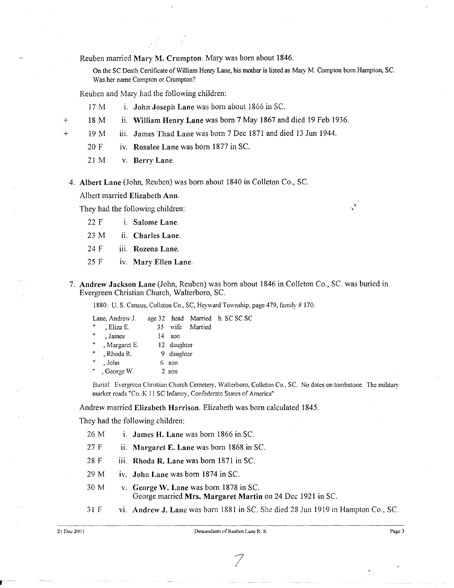Reuben married Mary M. Crumpton. Mary was born about 1846.

On the SC Death Certificate of William Henry Lane, his mother is listed as Mary M. Compton born Hampton, Sc. Was her name Compton or Crumpton?

Reuben and Mary had the following children:

- 17 M i. John Joseph Lane was born about 1866 in SC.
- + 18 M 11. William Henry Lane was born 7 May 1867 and died 19 Feb 1936.
	- 19 M iii. James Thad Lane was born 7 Dec 1871 and died 13 Jun 1944.
		- 20 F iv. Rosalee Lane was born 1877 in SC.
		- 21 M v. Berry Lane.
	- 4. Albert Lane (John, Reuben) was born about 1840 in Colleton Co., Sc.

Albert married Elizabeth Ann.

They had the following children:

- 22 F i. Salome Lane.
- 23 M ii. Charles Lane.
- 24 F iii. Rozena Lane.
- 25 F iv. Mary Ellen Lane.
- 7. Andrew Jackson Lane (John, Reuben) was born about 1846 in Colleton Co., Sc. was buried in Evergreen Christian Church, Walterboro, Sc.

1880: U. S. Census, Colleton Co., SC, Heyward Township, page 479, family # 170:

Lane, Andrew 1. , Eliza E. , James , Margaret E. , Rhoda R. " , John , George W. age 32 head Married b. SC SC SC 35 wife Married 14 son 12 daughter 9 daughter 6 son 2 son

Burial: Evergreen Christian Church Cemetery, Walterboro, Colleton Co., Sc. No dates on tombstone. The military marker reads "Co. K 11 SC Infantry, Confederate States of America"

Andrew married Elizabeth Harrison. Elizabeth was born calculated 1845.

They had the following children:

- 26 M i. James H. Lane was born 1866 in SC.
- $27 F$  ii. Margaret E. Lane was born 1868 in SC.
- 28 F iii. Rhoda R. Lane was born 1871 in SC.
- $29 M$  iv. John Lane was born 1874 in SC.
- 30 M v. George W. Lane was born 1878 in sc. George married Mrs. Margaret Martin on 24 Dee 1921 in Sc.
- 31 F VI. Andrew J. Lane was born 1881 in Sc. She died 28 Jun 1919 in Hampton Co., Sc.

Page 3

. .~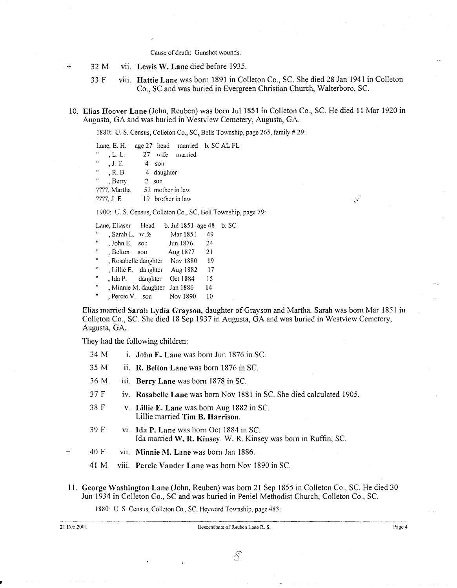Cause of death: Gunshot wounds.

- + 32 M V11. Lewis W. Lane died before 1935.
	- 33 F viii. Hattie Lane was born 1891 in Colleton Co., SC. She died 28 Jan 1941 in Colleton Co., SC and was buried in Evergreen Christian Church, Walterboro, SC.
- 10. Elias Hoover Lane (John, Reuben) was born Jul 1851 in Colleton Co., SC. He died 11 Mar 1920 in Augusta, GA and was buried in Westview Cemetery, Augusta, GA.

1880: U. S. Census, Colleton Co., SC, Bells Township, page 265, family # 29:

Lane, E. H. , L. L. ,1. E. ,R. B. , Berry ????, Martha ????, J. E. age 27 head married b. SC AL FL 27 wife married 4 son 4 daughter 2 son 52 mother in law 19 brother in law

1900: U. S. Census, Colleton Co., SC, Bell Township, page 79:

Lane, Eliaser er Head Lane, Eliaser Head<br>
... Sarah L. wife Head b. Jul 1 Lane, Eliaser Head b. Jul 1851 age 48 b. SC<br>
", Sarah L. wife Mar 1851 49<br>
", John E. son Jun 1876 24<br>
", Belton son Aug 1877 21<br>
", Rosabelle daughter Nov 1880 19<br>
", Lillie E. daughter Aug 1882 17<br>
", Ida P. daughter Oct

Colleton Co., Sc. She died 18 Sep 1937 in Augusta, GA and was buried in Westview Cemetery, Augusta, GA.

They had the following children:

- $34 M$  i. John E. Lane was born Jun 1876 in SC.
- 35 M ii. R. Belton Lane was born 1876 in SC. 35 M ii. R. Belton Lane was born 1876 in SC.<br>36 M iii. Berry Lane was born 1878 in SC.
	-
	- 37 F iv. Rosabelle Lane was born Nov 1881 in SC. She died calculated 1905.
	- 38 F v. Lillie E. Lane was born Aug 1882 in SC. Lillie married Tim B. Harrison.
	- 39 F vi. Ida P. Lane was born Oct 1884 in SC. Ida married W. R. Kinsey. W. R. Kinsey was born in Ruffin, SC.
	- $\ddot{+}$ 40 F vii. Minnie M. Lane was born Jan 1886.
		- 41 M viii. Percie Vander Lane was born Nov 1890 in SC.
	- 11. George Washington Lane (John, Reuben) was born 21 Sep 1855 in Col1eton Co., Sc. He died 30 Jun 1934 in Colleton Co., SC and was buried in Peniel Methodist Church, Colleton Co., SC.

1880: U. S. Census, Colleton Co., SC, Heyward Township, page 483:

 $\mathcal{F}$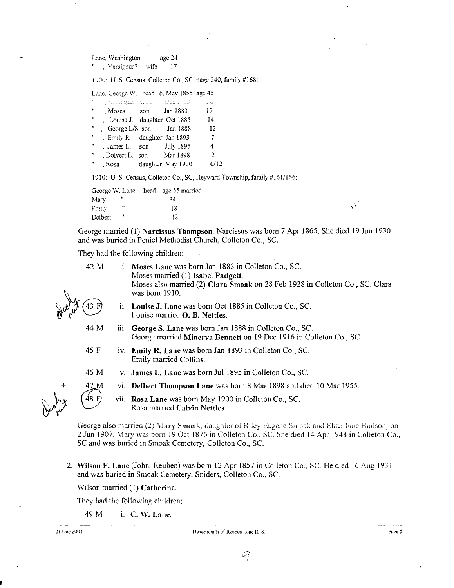Lane, Washington age 24 ", Varsigaus? wife 17

1900: U. S. Census, Colleton Co., SC, page 240, family # 168:

|                    |                               | Lane, George W. head b. May 1855 age 45 |                 |
|--------------------|-------------------------------|-----------------------------------------|-----------------|
| 18                 |                               | . Amedissus will Dec 1863               | ₫u              |
| $\pmb{\Psi}$       | Moses son Jan 1883            |                                         | 17              |
| $\mathbf{H}$       | , Louisa J. daughter Oct 1885 |                                         | 14              |
| $\mathbf{H}$       | George L/S son Jan 1888       |                                         | 12              |
| $^{\prime\prime}$  | , Emily R. daughter Jan 1893  |                                         | $7\overline{ }$ |
| $\pmb{\mathsf{H}}$ | James L. son                  | July 1895                               | 4               |
| $^{\prime}$        | , Dolvert L. son Mar 1898     |                                         | $\overline{2}$  |
| $^{\prime\prime}$  | . Rosa                        | daughter May 1900                       | 0/12            |
|                    |                               |                                         |                 |

1910: U. S. Census, Colleton Co., SC, Heyward Township, family # 161/166:

George W. Lane head age 55 married Mary Fmily Delbert 34 18 12

George married (1) Narcissus Thompson. Narcissus was born 7 Apr 1865. She died 19 Jun 1930 and was buried in Peniel Methodist Church, Colleton Co., Sc.

They had the following children:

|         | 42 M     |      | i. Moses Lane was born Jan 1883 in Colleton Co., SC.<br>Moses married (1) Isabel Padgett.<br>Moses also married (2) Clara Smoak on 28 Feb 1928 in Colleton Co., SC. Clara<br>was born 1910.                                                               |
|---------|----------|------|-----------------------------------------------------------------------------------------------------------------------------------------------------------------------------------------------------------------------------------------------------------|
|         | 43 F     |      | ii. Louise J. Lane was born Oct 1885 in Colleton Co., SC.<br>Louise married O. B. Nettles.                                                                                                                                                                |
|         | 44 M     | 111. | George S. Lane was born Jan 1888 in Colleton Co., SC.<br>George married Minerva Bennett on 19 Dec 1916 in Colleton Co., SC.                                                                                                                               |
|         | 45 F     |      | iv. Emily R. Lane was born Jan 1893 in Colleton Co., SC.<br><b>Emily married Collins.</b>                                                                                                                                                                 |
|         | 46 M     |      | v. James L. Lane was born Jul 1895 in Colleton Co., SC.                                                                                                                                                                                                   |
|         | 47 M     |      | vi. Delbert Thompson Lane was born 8 Mar 1898 and died 10 Mar 1955.                                                                                                                                                                                       |
| پر<br>س | $(48)$ F |      | vii. Rosa Lane was born May 1900 in Colleton Co., SC.<br>Rosa married Calvin Nettles.                                                                                                                                                                     |
|         |          |      | George also married (2) Mary Smoak, daughter of Riley Eugene Smoak and Eliza Jane Hudson, on<br>2 Jun 1907. Mary was born 19 Oct 1876 in Colleton Co., SC. She died 14 Apr 1948 in Colleton Co.<br>SC and was buried in Smoak Cemetery, Colleton Co., SC. |

12. Wilson F. Lane (John, Reuben) was born 12 Apr 1857 in Colleton Co., Sc. He died 16 Aug 1931 and was buried in Smoak Cemetery, Sniders, Colleton Co., Sc.

Wilson married (1) Catherine.

They had the following children:

49 M i. C. W. Lane.

21 Dec 2001 Descendants of Reuben Lanc R, S, Page 5

 $\mathcal{L}_{\mathcal{E}}$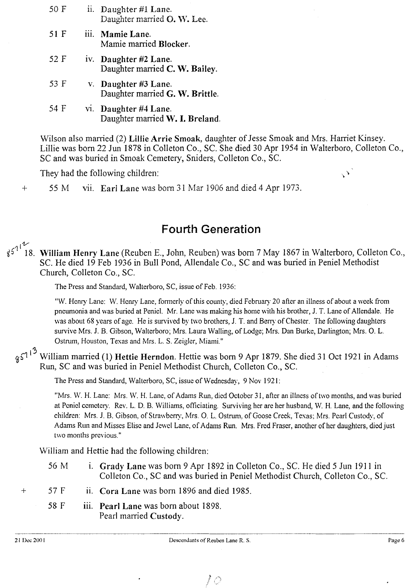- 50 F ii. Daughter #1 Lane.<br>Daughter married Daughter married O. W. Lee. iii. Mamie Lane. Mamie married Blocker. 52 F iv. Daughter #2 Lane. Daughter married C. W. Bailey. 53 F v. Daughter #3 Lane. Daughter married G. W. Brittle.
	- 54 F vi. Daughter #4 Lane. Daughter married W. I. Breland.

Wilson also married (2) Lillie Arrie Smoak, daughter of Jesse Smoak and Mrs. Harriet Kinsey. Lillie was born 22 Jun 1878 in Colleton Co., SC. She died 30 Apr 1954 in Walterboro, Colleton Co., SC and was buried in Smoak Cemetery, Sniders, Colleton Co., SC.

They had the following children:

+ 55 M vii. Earl Lane was born 31 Mar 1906 and died 4 Apr 1973.

## Fourth Generation

 $85712$ 18. William Henry Lane (Reuben E., John, Reuben) was born 7 May 1867 in Walterboro, Colleton Co., Sc. He died 19 Feb 1936 in Bull Pond, Allendale Co., SC and was buried in Peniel Methodist Church, Colleton Co., Sc.

The Press and Standard, Walterboro, SC, issue of Feb. 1936:

"W. Henry Lane: W. Henry Lane, formerly of this county, died February 20 after an illness of about a week from pneumonia and was buried at Peniel. Mr. Lane was making his home with his brother, J. 1. Lane of Allendale. He was about 68 years of age. He is survived by two brothers, J. T. and Berry of Chester. The following daughters survive Mrs. 1. B. Gibson, Walterboro; Mrs. Laura Walling, of Lodge; Mrs. Dan Burke, Darlington; Mrs. O. L. Ostrum, Houston, Texas and Mrs. L. S. Zeigler, Miami."

 $s^{1^{1^{\circ}}}$  William married (1) Hettie Herndon. Hettie was born 9 Apr 1879. She died 31 Oct 1921 in Adams Run, SC and was buried in Peniel Methodist Church, Colleton Co., Sc.

The Press and Standard, Walterboro, SC, issue of Wednesday, 9 Nov 1921:

"Mrs. \V. H. Lane: Mrs. W. H. Lane, of Adams Run, died October 31, after an illness of two months, and was buried at Penicl cemetery. Rev. L. D. B. Williams, officiating. Surviving her arc her husband, W. H. Lane, and the following children: Mrs. 1. B. Gibson, of Strawberry, Mrs. O. L. Ostrum, of Goose Creek, Texas: Mrs. Pearl Custody, of Adams Run and Misses Elise and Jewel Lane, of Adams Run. Mrs. Fred Fraser, another of her daughters, died just two months previous."

William and Hettie had the following children:

- 56 M 1. Grady Lane was born 9 Apr 1892 in Colleton Co., Sc. He died 5 Jun 1911 in Colleton Co., SC and was buried in Peniel Methodist Church, Colleton Co., Sc.
- + 57 F 11. Cora Lane was born 1896 and died 1985.
	- 58 F iii. Pearl Lane was born about 1898. Pearl married Custody.

# l Q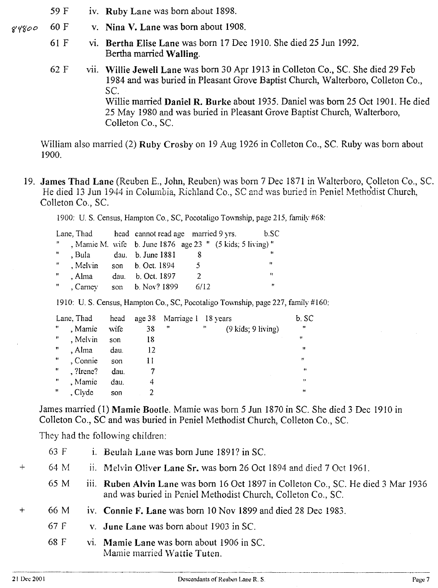- 59 F iv. Ruby Lane was born about 1898.
- $60 F$ Nina V. Lane was born about 1908.  $84800$ 
	- 61 F vi. Bertha Elise Lane was born 17 Dec 1910. She died 25 Jun 1992. Bertha married Walling.
	- 62 F Willie Jewell Lane was born 30 Apr 1913 in Colleton Co., Sc. She died 29 Feb 1984 and was buried in Pleasant Grove Baptist Church, Walterboro, Colleton Co., Sc. Willie married Daniel R. Burke about 1935. Daniel was born 25 Oct 1901. He died 25 May 1980 and was buried in Pleasant Grove Baptist Church, Walterboro, Colleton Co., Sc.

William also married (2) Ruby Crosby on 19 Aug 1926 in Colleton Co., SC. Ruby was born about 1900.

19. James Thad Lane (Reuben E., John, Reuben) was born 7 Dec 1871 in Walterboro, Colleton Co., Sc. He died 13 Jun 1944 in Columbia, Richland Co., SC and was buried in Peniel Methodist Church, Colleton Co., Sc.

1900: U. S. Census, Hampton Co., SC, Pocotaligo Township, page 215, family #68:

|                           |        | Lane, Thad head cannot read age married 9 yrs.            |      | b.SC              |
|---------------------------|--------|-----------------------------------------------------------|------|-------------------|
|                           |        | , Mamie M. wife b. June 1876 age 23 " (5 kids, 5 living)" |      |                   |
| Ħ                         | . Bula | dau. b. June 1881                                         |      | 11                |
| $\mathbf{H} = \mathbf{0}$ |        | Melvin son b. Oct. 1894                                   |      | ,,                |
| 11                        | . Alma | dau. b. Oct. 1897                                         | 2    | $^{\prime\prime}$ |
|                           |        | Carney son $b. Now? 1899$                                 | 6/12 | ,,                |

1910: U. S. Census, Hampton Co., SC, Pocotaligo Township, page 227, family #160:

|    | Lane, Thad | head |    | age 38 Marriage 1 18 years |                             | b. SC             |  |
|----|------------|------|----|----------------------------|-----------------------------|-------------------|--|
| 11 | , Mamie    | wife | 38 | ÷                          | n<br>$(9$ kids; $9$ living) | $\bullet$         |  |
|    | . Melvin   | son  | 18 |                            |                             |                   |  |
| ., | . Alma     | dau. | 12 |                            |                             | $^{\prime\prime}$ |  |
| 11 | Connie     | son  | 11 |                            |                             | Ħ                 |  |
| Ħ. | $?$ lrene? | dau. |    |                            |                             |                   |  |
| ,, | . Mamie    | dau. | 4  |                            |                             | $\mathbf{H}$      |  |
| ,, | , Clyde    | son  |    |                            |                             | $^{\prime\prime}$ |  |

Colleton Co., SC and was buried in Peniel Methodist Church, Colleton Co., Sc.

They had the following children:

| 63 F | i. Beulah Lane was born June 1891? in SC. |  |  |
|------|-------------------------------------------|--|--|
|------|-------------------------------------------|--|--|

- $+$  64 M ii. Melvin Oliver Lane Sr. was born 26 Oct 1894 and died 7 Oct 1961.
	- 65 M iii. Ruben Alvin Lane was born 16 Oct 1897 in Colleton Co., SC. He died 3 Mar 1936 and was buried in Peniel Methodist Church, Colleton Co., Sc.
	- 66 M iv. Connie F. Lane was born 10 Nov 1899 and died 28 Dec 1983.
		- 67 F v. June Lane was born about 1903 in Sc.
		- 68 F vi. **Mamie Lane** was born about 1906 in SC. Mamie married Wattie Tuten.

+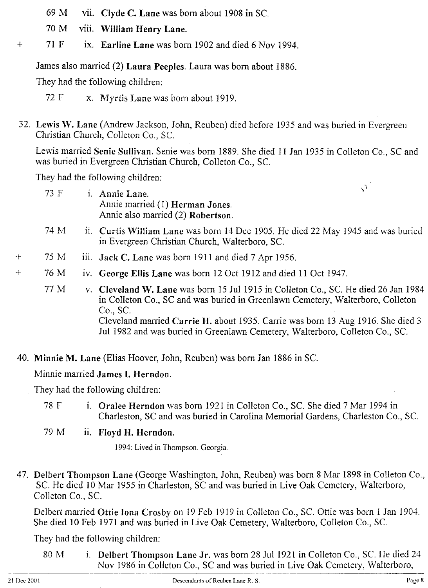- 69M vii. Clyde C. Lane was born about 1908 in  $SC$ .
- 70 M viii. William Henry Lane.
- 71 F ix. Earline Lane was born 1902 and died 6 Nov 1994.

James also married (2) Laura Peeples. Laura was born about 1886.

They had the following children:

+

+ +

- 72 F x. Myrtis Lane was born about 1919.
- 32. Lewis W. Lane (Andrew Jackson, John, Reuben) died before 1935 and was buried in Evergreen Christian Church, Co1leton Co., sc.

Lewis married Senie Sullivan. Senie was born 1889. She died 11 Jan 1935 in Colleton Co., SC and was buried in Evergreen Christian Church, Colleton Co., Sc.

They had the following children:

| 73 F | i. Annie Lane.<br>Annie married (1) Herman Jones.<br>Annie also married (2) Robertson.                                                                                                                                                                                                                                                              |
|------|-----------------------------------------------------------------------------------------------------------------------------------------------------------------------------------------------------------------------------------------------------------------------------------------------------------------------------------------------------|
| 74 M | ii. Curtis William Lane was born 14 Dec 1905. He died 22 May 1945 and was buried<br>in Evergreen Christian Church, Walterboro, SC.                                                                                                                                                                                                                  |
| 75 M | iii. Jack C. Lane was born 1911 and died 7 Apr 1956.                                                                                                                                                                                                                                                                                                |
| 76 M | iv. George Ellis Lane was born 12 Oct 1912 and died 11 Oct 1947.                                                                                                                                                                                                                                                                                    |
| 77 M | v. Cleveland W. Lane was born 15 Jul 1915 in Colleton Co., SC. He died 26 Jan 1984<br>in Colleton Co., SC and was buried in Greenlawn Cemetery, Walterboro, Colleton<br>Co., SC.<br>Cleveland married Carrie H. about 1935. Carrie was born 13 Aug 1916. She died 3<br>Jul 1982 and was buried in Greenlawn Cemetery, Walterboro, Colleton Co., SC. |

40. Minnie M. Lane (Elias Hoover, John, Reuben) was hom Jan 1886 in Sc.

Minnie married James I. Herndon.

They had the following children:

- 78 F i. Oralee Herndon was born 1921 in Colleton Co., SC. She died 7 Mar 1994 in Charleston, SC and was buried in Carolina Memorial Gardens, Charleston Co., Sc.
- 79 M ii. Floyd H. Herndon.

1994: Lived in Thompson, Georgia.

47. Delbert Thompson Lane (George Washington, John, Reuben) was born 8 Mar 1898 in Colleton Co., Sc. He died 10 Mar 1955 in Charleston, SC and was buried in Live Oak Cemetery, Walterboro, Colleton Co., Sc.

Delbert married Ottie lona Crosby on 19 Feb 1919 in ColIeton Co., Sc. Ottie was bom 1 Jan 1904. She died 10 Feb 1971 and was buried in Live Oak Cemetery, Walterboro, Colleton Co., Sc.

They had the following children:

80 M i. Delbert Thompson Lane Jr. was born 28 Jul 1921 in Colleton Co., SC. He died 24 Nov 1986 in Colleton Co., SC and was buried in Live Oak Cemetery, Walterboro,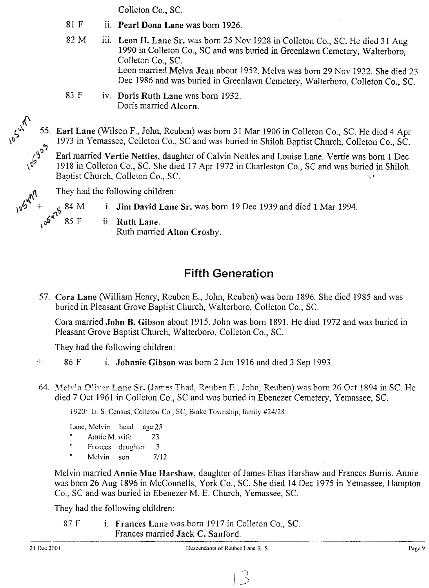Colleton Co., SC.

- 81 F ii. Pearl Dona Lane was born 1926.
- 82 M iii. Leon H. Lane Sr. was born 25 Nov 1928 in Colleton Co., SC. He died 31 Aug 1990 in Colleton Co., SC and was buried in Greenlawn Cemetery, Walterboro, Colleton Co., Sc. Leon married Melva Jean about 1952. Melva was born 29 Nov 1932. She died 23 Dec 1986 and was buried in Greenlawn Cemetery, Walterboro, Colleton Co., SC.
- 83 F iv. Doris Ruth Lane was born 1932. Doris married Alcorn.

55. Earl Lane (Wilson F., John, Reuben) was born 31 Mar 1906 in Colleton Co., SC. He died 4 Apr 1973 in Yemassee, Colleton Co., SC and was buried in Shiloh Baptist Church, Colleton Co., SC.

Earl married Vertie Nettles, daughter of Calvin Nettles and Louise Lane. Vertie was born 1 Dec 1918 in Colleton Co., SC. She died 17 Apr 1972 in Charleston Co., SC and was buried in Shiloh Bantist Church, Colleton Co., SC Baptist Church, Colleton Co., sc. \'

 $\mathcal{N}^{\mathcal{U}}$  They had the following children

**1055UM** 

i. Jim David Lane Sr. was born 19 Dec 1939 and died 1 Mar 1994.<br>ii. Ruth Lane.

~*~~v.* 85 F 11. Ruth Lane.

Ruth married Alton Crosby.

## **Fifth Generation**

57. Cora Lane (WiUiam Henry, Reuben E., John, Reuben) was born 1896. She died 1985 and was buried in Pleasant Grove Baptist Church, Walterboro, Colleton Co., Sc.

Cora married John B. Gibson about 1915. John was born 1891. He died 1972 and was buried in Pleasant Grove Baptist Church, Walterboro, Colleton Co., SC.

They had the following children:

+ 86 F i. Johnnie Gibson was born 2 Jun 1916 and died 3 Sep 1993.

64. Melvin Oliver Lane Sr. (James Thad, Reuben E., John, Reuben) was born 26 Oct 1894 in SC. He died 7 Oct 1961 in Colleton Co., SC and was buried in Ebenezer Cemetery, Yemassee, Sc.

1920: U. S. Census, Colleton Co., SC, Blake Township, family #24/28:

Lane, Melvin head age 25 Annie M. wife 23  $\ddot{\mathbf{u}}$ Frances daughter 3 'n, Melvin son 7/12

Melvin married Annie Mae Harshaw, daughter of James Elias Harshaw and Frances Burris. Annie was born 26 Aug 1896 in McConnells, York Co., Sc. She died 14 Dec 1975 in Yemassee, Hampton Co., SC and was buried in Ebenezer M. E. Church, Yemassee, SC.

They had the following children:

87 F i. Frances Lane was born 1917 in Colleton Co., SC. Frances married Jack C. Sanford.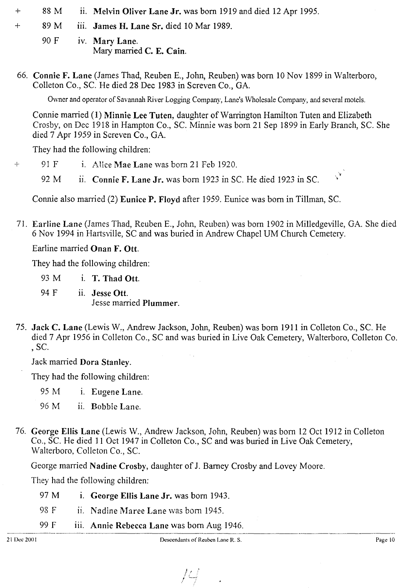- + 88 M ii. Melvin Oliver Lane Jr. was born 1919 and died 12 Apr 1995.
- + 89 M iii. James H. Lane Sr. died 10 Mar 1989.
	- 90 F iv. Mary Lane. Mary married C. E. Cain.
- 66. Connie F. Lane (James Thad, Reuben E., John, Reuben) was born 10 Nov 1899 in Walterboro, Colleton Co., SC. He died 28 Dec 1983 in Screven Co., GA.

Owner and operator of Savannah River Logging Company, Lane's Wholesale Company, and several motels.

Connie married (1) Minnie Lee Tuten, daughter of Warrington Hamilton Tuten and Elizabeth Crosby, on Dee 1918 in Hampton Co., SC. Minnie was born 21 Sep 1899 in Early Branch, Sc. She died 7 Apr 1959 in Screven Co., GA.

They had the following children:

- + 91 F i. Alice Mae Lane was born 21 Feb 1920.
	- $\hat{\mathbf{v}}^{\prime}$ 92 M ii. Connie F. Lane Jr. was born 1923 in SC. He died 1923 in SC.

Connie also married (2) Eunice P. Floyd after 1959. Eunice was born in Tillman, Sc.

71. Earline Lane (James Thad, Reuben E., John, Reuben) was born 1902 in Milledgeville, GA. She died 6 Nov 1994 in Hartsville, SC and was buried in Andrew Chapel UM Church Cemetery.

Earline married Onan F. Ott.

They had the following children:

93 M i. T. Thad Ott.

- 94 F ii. Jesse Ott. Jesse married Plummer.
- 75. Jack C. Lane (Lewis W., Andrew Jackson, John, Reuben) was born 1911 in Colleton Co., SC. He died 7 Apr 1956 in Colleton Co., SC and was buried in Live Oak Cemetery, Walterboro, Colleton Co. , Sc.

Jack married Dora Stanley.

They had the following children:

95 M i. Eugene Lane.

96 M ii. Bobbie Lane.

76. George Ellis Lane (Lewis W., Andrew Jackson, John, Reuben) was born 12 Oct 1912 in Colleton Co., Sc. He died 11 Oct 1947 in Colleton Co., SC and was buried in Live Oak Cemetery, Walterboro, Colleton Co., Sc.

George married Nadine Crosby, daughter of J. Barney Crosby and Lavey Moore.

They had the following children:

- 97 M i. George Ellis Lane Jr. was born 1943.
- 98 F ii. Nadine Maree Lane was born 1945.
- 99 Fill. Annie Rebecca Lane was born Aug 1946.

 $\int$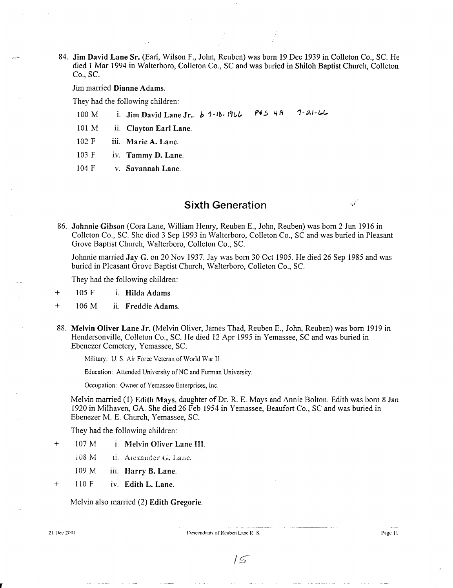84. Jim David Lane Sr. (Earl, Wilson F., John, Reuben) was born 19 Dec 1939 in Colleton Co., Sc. He died 1 Mar 1994 in Walterboro, Colleton Co., SC and was buried in Shiloh Baptist Church, Colleton Co., SC.

Jim married Dianne Adams.

They had the following children:

- $100 M$  i. Jim D.  $101 M$  ii. Clayt. 100 M i. Jim David Lane Jr.  $7 - 21 - 66$  $P4S$  4A
	-
	- 102 F iii. Marie A. Lane.
	- $103 F$ iv. Tammy D. Lane.
	- $104$  F v. Savannah Lane.

### **Sixth** Generation

 $\hat{\mathcal{N}}$ 

86. Johnnie Gibson (Cora Lane, William Heruy, Reuben E., John, Reuben) was born 2 Jun 1916 in Colleton Co., SC. She died 3 Sep 1993 in Walterboro, Colleton Co., SC and was buried in Pleasant Grove Baptist Church, Walterboro, Colleton Co., Sc.

Johnnie married Jay G. on 20 Nov 1937. Jay was born 30 Oct 1905. He died 26 Sep 1985 and was buried in Pleasant Grove Baptist Church, Walterboro, Colleton Co., Sc.

They had the following children:

 $+$  105 F i. Hilda Adams.

- + 106 M ii. Freddie Adams.
- 88. Melvin Oliver Lane Jr. (Melvin Oliver, James Thad, Reuben E., John, Reuben) was born 1919 in Hendersonville, Colleton Co., Sc. He died 12 Apr 1995 in Yemassee, SC and was buried in Ebenezer Cemetery, Yemassee, Sc.

Military: U. S. Air Force Veteran of World War II.

Education: Attended University of NC and Furman University.

Occupation: Owner of Yemassee Enterprises, Inc.

Melvin married (1) Edith Mays, daughter of Dr. R. E. Mays and Annie Bolton. Edith was born 8 Jan 1920 in Milhaven, GA. She died 26 Feb 1954 in Yemassee, Beaufort Co., SC and was buried in Ebenezer M. E. Church, Yemassee, Sc.

They had the following children:

- + 107 M i. Melvin Oliver Lane III.
	- 108 M II. Alexander G. Lane.
	- 109 M iii. Harry B. Lane.
	- 110 F iv. Edith L. Lane.

Melvin also married (2) Edith Gregorie.

+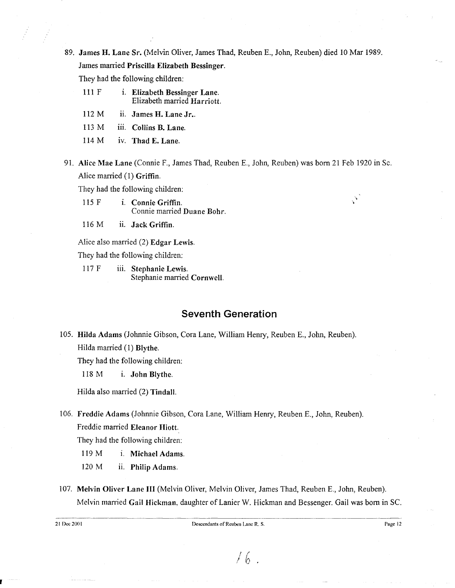89. James H. Lane Sr. (Melvin Oliver, James Thad, Reuben E., John, Reuben) died 10 Mar 1989.

James married Priscilla Elizabeth Bessinger.

They had the following children:

- 111 F i. Elizabeth Bessinger Lane. Elizabeth married Harriott.
- $112 M$  ii. James H. Lane Jr..

113 M iii. Collins B. Lane.

114 M iv. Thad E. Lane.

91. Alice Mae Lane (Connie F., James Thad, Reuben E., John, Reuben) was born 21 Feb 1920 in Sc. Alice married (1) Griffin.

They had the following children:

115 F i. Connie Griffin. Connie married Duane Bohr.

116 M ii. Jack Griffin.

Alice also married (2) Edgar Lewis.

They had the following children:

117 F iii. Stephanie Lewis. Stephanie married Cornwell.

## **Seventh Generation**

105. Hilda Adams (Johnnie Gibson, Cora Lane, William Henry, Reuben E., John, Reuben). Hilda married (1) Blythe.

They had the following children:

118 M i. John Blythe.

Hilda also married (2) Tindall.

106. Freddie Adams (Johnnie Gibson, Cora Lane, William Henry, Reuben E., John, Reuben).

Freddie married Eleanor Hiott.

They had the following children:

119 M i. Michael Adams.

120 M ii. Philip Adams.

107. Melvin Oliver Lane **III** (Melvin Oliver, Melvin Oliver, James Thad, Reuben E., John, Reuben). Melvin married Gail Hickman, daughter of Lanier W. Hickman and Bessenger. Gail was born in SC.

Page 12

.•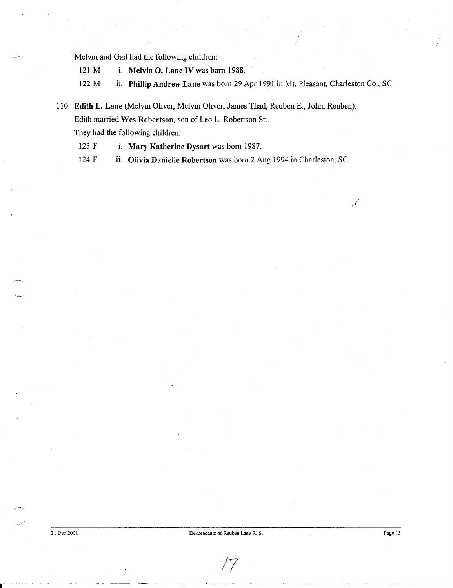Melvin and Gail had the following children:

121 M i. Melvin O. Lane IV was born 1988.

122 M ii. Phillip Andrew Lane was born 29 Apr 1991 in Mt. Pleasant, Charleston Co., SC.

110. Edith L. Lane (Melvin Oliver, Melvin Oliver, James Thad, Reuben E., John, Reuben).

Edith married Wes Robertson, son of Leo L. Robertson Sr..

They had the following children:

123 F i. Mary Katherine Dysart was born 1987.

124 F ii. Olivia Danielle Robertson was born 2 Aug 1994 in Charleston, SC.

*17*

 $\sqrt{2}$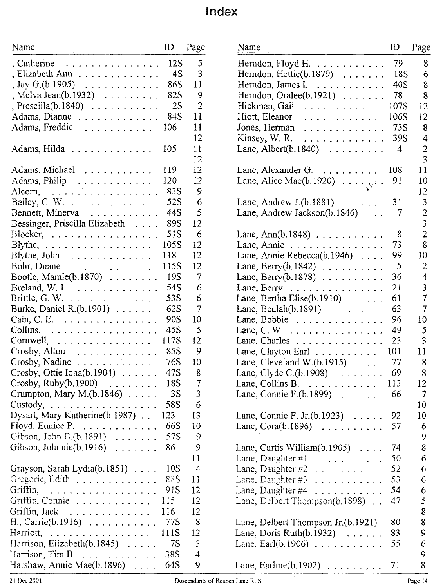## **Index**

| Name                                                                             | ID Page    |                |
|----------------------------------------------------------------------------------|------------|----------------|
| , Catherine $\ldots \ldots \ldots \ldots$                                        | 12S        | 5              |
| Elizabeth Ann                                                                    | 4S         | 3              |
|                                                                                  | 86S        | 11             |
| Jay G.(b.1905)<br>Nelva Jean(b.1932)<br>Nelva Jean(b.1932)<br>Nelva Jean(b.1932) |            | 9              |
| $\text{. }$ Prescilla(b.1840) $\ldots \ldots \ldots$                             | 2S         | $\overline{c}$ |
| Adams, Dianne 84S                                                                |            | 11             |
| Adams, Freddie                                                                   | 106        | 11             |
|                                                                                  |            | 12             |
| Adams, Hilda                                                                     | 105        | 11             |
|                                                                                  |            | 12             |
| Adams, Michael                                                                   | 119        | 12             |
| Adams, Philip                                                                    | 120        | 12             |
|                                                                                  | 83S        | 9              |
| Bailey, C. W.                                                                    | 52S        | 6              |
| Bennett, Minerva                                                                 | 44S        | 5              |
| Bessinger, Priscilla Elizabeth  89S                                              |            | 12             |
| Blocker, $51S$                                                                   |            | 6              |
| Blythe, $\ldots \ldots \ldots \ldots \ldots$                                     | 105S       | 12             |
| Blythe, John                                                                     | 118        | 12             |
| Bohr, Duane $\ldots \ldots \ldots \ldots$                                        | 115S       | 12             |
| Bootle, Mamie(b.1870)                                                            | 19S        | 7              |
| Breland, W. I.                                                                   | 54S        | 6              |
| Brittle, G. W.                                                                   | 53S        | 6              |
| Burke, Daniel R.(b.1901)                                                         | 62S        | 7              |
| Cain, C. E. $\ldots \ldots \ldots \ldots$                                        | 90S        | 10             |
| Collins, $\ldots \ldots \ldots \ldots \ldots$                                    | 45S        | 5              |
| $Cornwell, \ldots \ldots \ldots \ldots$                                          | 117S       | 12             |
| Crosby, Alton                                                                    | 85S        | 9              |
| Crosby, Nadine                                                                   | 76S        | 10             |
| Crosby, Ottie Iona(b.1904)                                                       | 47S        |                |
| Crosby, Ruby $(b.1900)$                                                          | 18S        | 8<br>7         |
|                                                                                  | 3S         | 3              |
| Crumpton, Mary M.(b.1846)                                                        |            |                |
| Custody, $\ldots \ldots \ldots \ldots \ldots$                                    | 58S        | 6              |
| Dysart, Mary Katherine(b.1987).                                                  | 123        | 13             |
| Floyd, Eunice P. $\dots \dots \dots$                                             | 66S<br>57S | 10<br>9        |
| Gibson, John B. $(b.1891)$                                                       |            |                |
| Gibson, Johnnie(b.1916) $\ldots$                                                 | 86         | 9              |
| Grayson, Sarah Lydia(b.1851) 10S                                                 |            | 11<br>4        |
| Gregorie, Edith                                                                  | 88S.       | 11             |
| Griffin,                                                                         | 91S        | 12             |
| Griffin, Connie                                                                  | 115        |                |
| Griffin, Jack                                                                    | 116        | 12             |
|                                                                                  | 77S        | 12<br>8        |
| H., Carrie(b.1916)                                                               |            |                |
| Harriott, $\ldots \ldots \ldots \ldots$                                          | 111S       | 12             |
| Harrison, Elizabeth(b.1845)                                                      | <b>7S</b>  | 3              |
| Harrison, Tim B. $\dots \dots \dots$                                             | 38S        | 4              |
| Harshaw, Annie Mae $(b.1896) \ldots$ .                                           | 64S        | 9              |

| Name                                                                                                         | ID   | Page                    |
|--------------------------------------------------------------------------------------------------------------|------|-------------------------|
| Herndon, Floyd H.                                                                                            | 79   | 8                       |
| Herndon, Hettie(b.1879)                                                                                      | 18S  | 6                       |
| Herndon, James I.                                                                                            | 40S  | 8                       |
| Herndon, Oralee(b.1921)                                                                                      | 78   | 8                       |
|                                                                                                              |      |                         |
| Hickman, Gail<br>.                                                                                           | 107S | 12                      |
| Hiott, Eleanor<br>.                                                                                          | 106S | 12                      |
| Jones, Herman<br>.                                                                                           | 73S  | 8                       |
| Kinsey, W. R.<br>.<br>$\cdots$                                                                               | 39S  | 4                       |
| Lane, Albert(b.1840)<br>.                                                                                    | 4    | $\overline{c}$          |
|                                                                                                              |      | 3                       |
| Lane, Alexander G.                                                                                           | 108  | 11                      |
| Lane, Alice Mae(b.1920) $\cdots$ , $y^2$ .                                                                   | 91   | 10                      |
|                                                                                                              |      | 12                      |
| Lane, Andrew J.(b.1881)                                                                                      | 31   | 3                       |
| Lane, Andrew Jackson(b.1846)                                                                                 | 7    | $\overline{\mathbf{c}}$ |
|                                                                                                              |      | 3                       |
| Lane, Ann(b.1848) $\ldots \ldots \ldots$                                                                     | 8    | $\overline{2}$          |
| Lane, Annie                                                                                                  | 73   | 8                       |
| Lane, Annie Rebecca(b.1946)                                                                                  | 99   | 10                      |
| Lane, Berry(b.1842)                                                                                          | 5    | 2                       |
| Lane, Berry $(b.1878)$                                                                                       | 36   | 4                       |
| Lane, Berry                                                                                                  | 21   | 3                       |
| Lane, Bertha Elise $(b.1910)$                                                                                | 61   | 7                       |
| Lane, Beulah $(b.1891)$                                                                                      | 63   | 7                       |
|                                                                                                              | 96   |                         |
| Lane, Bobbie                                                                                                 |      | 10                      |
| Lane, C. W.                                                                                                  | 49   | 5                       |
| Lane, Charles                                                                                                | 23   | 3                       |
| Lane, Clayton Earl                                                                                           | 101  | 11                      |
| Lane, Cleveland W. $(b.1915)$                                                                                | 77   | 8                       |
| Lane, Clyde C.(b.1908)                                                                                       | 69   | 8                       |
| Lane, Collins B.                                                                                             | 113  | 12                      |
| Lane, Connie F. $(b.1899)$                                                                                   | 66   | 7                       |
|                                                                                                              |      | 10                      |
| Lane, Connie F. Jr.(b.1923)                                                                                  | 92   | 10                      |
| Lane, Cora(b.1896)                                                                                           | 57   | 6                       |
|                                                                                                              |      | 9                       |
| Lane, Curtis William(b.1905)                                                                                 | 74   | 8                       |
| Lane, Daughter $#1$                                                                                          | 50   | 6                       |
| Lane, Daughter #2                                                                                            | 52   | 6                       |
| Lane, Daughter #3                                                                                            | 53   | 6                       |
| Lane, Daughter #4<br>$\mathcal{L}^{\mathcal{A}}(\mathcal{A})$ , and $\mathcal{A}^{\mathcal{A}}(\mathcal{A})$ | 54   | 6                       |
| Lane, Delbert Thompson(b.1898)                                                                               | 47   | 5                       |
|                                                                                                              |      | 8                       |
| Lane, Delbert Thompson Jr.(b.1921)                                                                           | 80   | 8                       |
| Lane, Doris Ruth(b.1932)                                                                                     | 83   | 9                       |
| .                                                                                                            | 55   | 6                       |
| Lane, Earl $(b.1906)$                                                                                        |      |                         |
|                                                                                                              |      | 9                       |
| Lane, Earline $(b.1902)$                                                                                     | 71   | 8                       |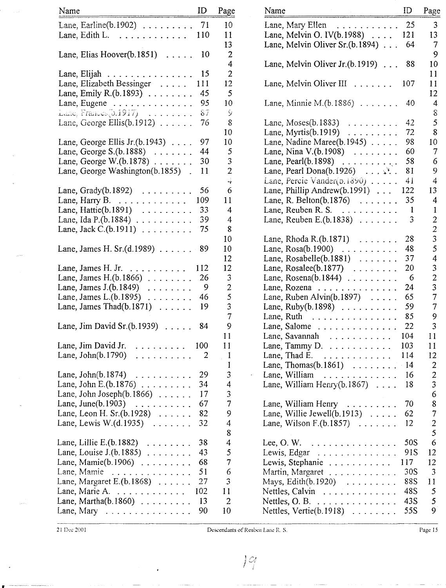| Name                                              | ID  | Page           |
|---------------------------------------------------|-----|----------------|
| Lane, Earline(b.1902)                             | 71  | 10             |
| Lane, Edith L.<br>.                               | 110 | 11             |
|                                                   |     | 13             |
| Lane, Elias Hoover(b.1851)                        | 10  | 2              |
|                                                   |     | 4              |
| Lane, Elijah<br>.                                 | 15  | 2              |
| Lane, Elizabeth Bessinger                         | 111 | 12             |
|                                                   | 45  | 5              |
| Lane, Emily R. $(b.1893)$                         |     |                |
| Lane, Eugene<br>Lane, Frances (0.1917)            | 95  | 10             |
|                                                   | 87  | ÿ              |
| Lane, George Ellis(b.1912)                        | 76  | 8              |
|                                                   |     | 10             |
| Lane, George Ellis Jr. $(b.1943)$                 | 97  | 10             |
| Lane, George S. $(b.1888) \dots \dots$            | 44  | 5              |
| Lane, George W. $(b.1878) \ldots$ .               | 30  | 3              |
| Lane, George Washington(b.1855)                   | 11  | $\overline{c}$ |
|                                                   |     | 4              |
| Lane, $Grady(b.1892)$                             | 56  | 6              |
| Lane, Harry B. $\ldots \ldots$                    | 109 | 11             |
| Lane, Hattie(b.1891)<br>.                         | 33  | 4              |
| Lane, Ida P.(b.1884)<br>.                         | 39  | 4              |
| Lane, Jack C. $(b.1911)$                          | 75  | 8              |
|                                                   |     | 10             |
| Lane, James H. Sr.(d.1989)                        | 89  | 10             |
|                                                   |     | 12             |
| Lane, James H. Jr                                 | 112 | 12             |
| Lane, James H.(b.1866)                            | 26  | 3              |
|                                                   | 9   | $\overline{c}$ |
| Lane, James J.(b.1849)<br>.                       |     | 5              |
| Lane, James L. $(b.1895)$                         | 46  |                |
| Lane, James Thad(b.1871)                          | 19  | 3              |
|                                                   |     | 7              |
| Lane, Jim David Sr.(b.1939)                       | 84  | 9              |
|                                                   |     | 11             |
| Lane, Jim David Jr.                               | 100 | 11             |
| Lane, John(b.1790)                                | 2   | 1              |
|                                                   |     | 1              |
| Lane, $John(b.1874)$<br>.                         | 29  | 3              |
| Lane, John E. $(b.1876)$                          | 34  | 4              |
| Lane, John Joseph(b.1866)<br>$\ddot{\phantom{0}}$ | 17  | 3              |
| Lane, June(b.1903)                                | 67  | 7              |
| Lane, Leon H. Sr.(b.1928)                         | 82  | 9              |
| Lane, Lewis W.(d.1935)                            | 32  | 4              |
|                                                   |     | 8              |
| Lane, Lillie E.(b.1882)                           | 38  | 4              |
| Lane, Louise J.(b.1885)                           | 43  | 5              |
| Lane, Mamie(b.1906)                               | 68  | 7              |
| Lane, Mamie<br>$\sim$                             | 51  | 6              |
| Lane, Margaret E.(b.1868)                         | 27  | 3              |
| Lane, Marie A.                                    | 102 | 11             |
|                                                   |     |                |
| Lane, Martha(b.1860)                              | 13  | 2              |
| Lane, Mary.<br>.                                  | 90  | 10             |

| Name                                                                | ID             | Page                                            |
|---------------------------------------------------------------------|----------------|-------------------------------------------------|
| Lane, Mary Ellen                                                    | 25             | 3                                               |
| Lane, Melvin O. IV $(b.1988)$                                       | 121            | 13                                              |
| Lane, Melvin Oliver Sr.(b.1894)                                     | 64             | 7                                               |
|                                                                     |                | 9                                               |
| Lane, Melvin Oliver Jr. $(b.1919)$                                  | 88             | 10                                              |
|                                                                     |                | 11                                              |
| Lane, Melvin Oliver III                                             | 107            | 11                                              |
|                                                                     |                | 12                                              |
| Lane, Minnie M. $(b.1886)$                                          | 40             | 4                                               |
|                                                                     |                | 8                                               |
| Lane, Moses(b.1883)<br>$\mathbb{Z}^2$ . The set of $\mathbb{Z}^2$   | 42             | 5                                               |
| Lane, Myrtis $(b.1919) \ldots \ldots$<br>Lane, Nadine Maree(b.1945) | 72<br>98       | 8<br>10                                         |
| Lane, Nina V. $(b.1908)$                                            | 60             | 7                                               |
| Lane, Pearl $(b.1898)$                                              | 58             | 6                                               |
| Lane, Pearl Dona(b.1926) $\ldots$ , $\ldots$                        | 81             | 9                                               |
| Lane, Percie Vander(b.1890)                                         | 41             | 4                                               |
| Lane, Phillip Andrew $(b.1991)$                                     | 122            | 13                                              |
| Lane, R. Belton $(b.1876) \dots \dots$                              | 35             | 4                                               |
| Lane, Reuben R. S.                                                  | -1             | 1                                               |
| Lane, Reuben E. $(b.1838) \ldots \ldots$                            | $\mathfrak{Z}$ |                                                 |
|                                                                     |                | $\begin{array}{c} 2 \\ 2 \\ 3 \\ 5 \end{array}$ |
| Lane, Rhoda R.(b.1871)<br>.                                         | 28             |                                                 |
| Lane, $Rosa(b.1900)$                                                | 48             |                                                 |
| Lane, $Rosablelle(b.1881) \ldots \ldots$                            | 37             | $\overline{4}$                                  |
|                                                                     | 20             | $\overline{\mathbf{3}}$                         |
| Lane, Rosalee(b.1877)<br>Lane, Rosena(b.1844)                       | 6              |                                                 |
| Lane, Rozena                                                        | 24             | $\frac{2}{3}$                                   |
| Lane, Ruben Alvin $(b.1897) \dots$ .                                | 65             | $\overline{7}$                                  |
| Lane, Ruby(b.1898)                                                  | 59             | $\overline{7}$                                  |
| Lane, Ruth $\dots \dots \dots \dots \dots$                          | 85             | 9                                               |
| Lane, Salome                                                        | 22             | 3                                               |
| Lane, Savannah $\ldots \ldots \ldots$                               | 104            | 11                                              |
| Lane, Tammy D. $\ldots \ldots \ldots$                               | 103            | 11                                              |
| Lane, Thad E. $\ldots \ldots \ldots$                                | 114            | 12                                              |
| Lane, Thomas $(b.1861)$                                             | $-14$          | $\overline{2}$                                  |
| Lane, William                                                       | 16             | 2<br>3                                          |
| Lane, William Henry(b.1867).                                        | 18             |                                                 |
|                                                                     |                | 6                                               |
| Lane, William Henry<br>$\sim 10^7$                                  | 70             | 8                                               |
| Lane, Willie Jewell(b.1913)                                         | 62             | 7                                               |
| Lane, Wilson F.(b.1857)                                             | 12             | $rac{2}{5}$                                     |
|                                                                     | 50S            | 6                                               |
| Lee, O.W.                                                           | 91S            | 12                                              |
| Lewis, Edgar $\ldots \ldots$<br>Lewis, Stephanie                    | 117            | 12                                              |
| Martin, Margaret                                                    | 30S            | 3                                               |
| Mays, Edith(b.1920)                                                 | 88S            | 11                                              |
| $\mathbf{L}$ . The set of $\mathbf{L}$<br>Nettles, Calvin<br>.      | 48S            | 5                                               |
| Nettles, O. B.<br>.                                                 | 43S            | 5                                               |
| Nettles, $Vert(e.1918) \dots \dots$                                 | 55S            | 9                                               |
|                                                                     |                |                                                 |

21 Dec 2001 Descendants of Reuben Lane R. S. Page 15

 $|q|$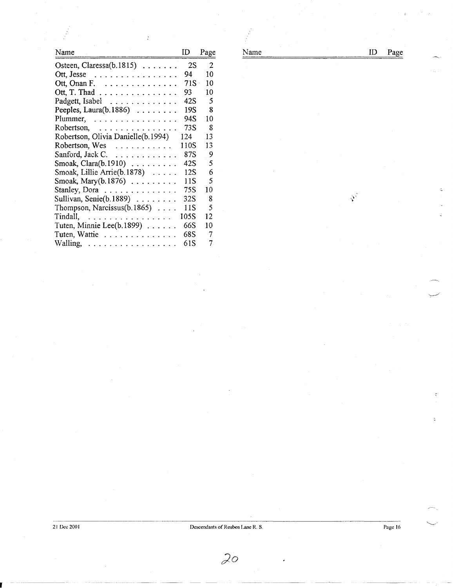| Name                                       | ID   | Page           |
|--------------------------------------------|------|----------------|
| Osteen, Claressa $(b.1815)$                | 2S   | $\overline{2}$ |
| Ott, Jesse $\dots \dots \dots \dots$       | 94   | 10             |
| Ott, Onan F. $\ldots \ldots \ldots \ldots$ | 71S  | 10             |
| Ott, T. Thad                               | 93   | 10             |
| Padgett, Isabel                            | 42S  | 5              |
| Peeples, Laura $(b.1886)$                  | 19S  | 8              |
| Plummer,                                   | 94S  | 10             |
| Robertson,<br>. <i>.</i>                   | 73S  | 8              |
| Robertson, Olivia Danielle(b.1994)         | 124  | 13             |
| Robertson, Wes                             | 110S | 13             |
| Sanford, Jack C. $\ldots$ .                | 87S  | 9              |
| Smoak, Clara $(b.1910)$                    | 42S  | 5              |
| Smoak, Lillie Arrie(b.1878)                | 12S  | 6              |
| Smoak, Mary $(b.1876)$                     | 11S  | 5              |
| Stanley, Dora                              | 75S  | 10             |
| Sullivan, Senie(b.1889) $\ldots \ldots$    | 32S  | 8              |
| Thompson, Narcissus $(b.1865)$             | 11S  | 5              |
| Tindall,<br>. <i>.</i>                     | 105S | 12             |
| Tuten, Minnie Lee $(b.1899)$               | 66S  | 10             |
| Tuten, Wattie                              | 68S  | 7              |
| Walling,<br>.                              | 61S  | 7.             |

Name

 $ID$ Page

 $\mathcal{P}$ 

21 Dec 2001 Descendants of Reuben Lane R. S. Page 16

 $20$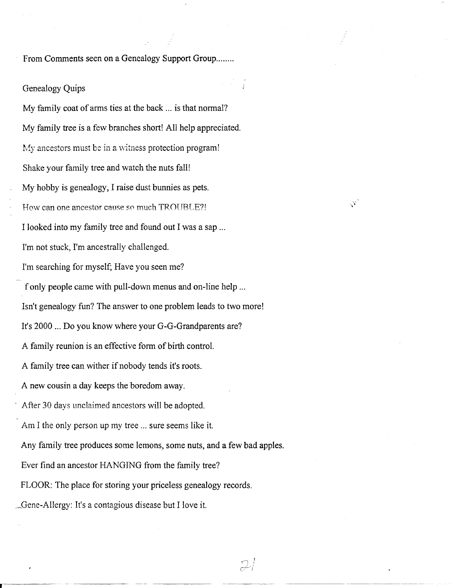From Comments seen on a Genealogy Support Group........

## Genealogy Quips

My family coat of arms ties at the back ... is that normal? My family tree is a few branches short! All help appreciated. My ancestors must be in a witness protection program! Shake your family tree and watch the nuts fall! My hobby is genealogy, I raise dust bunnies as pets. How can one ancestor cause so much TROUBLE?! I looked into my family tree and found out I was a sap ... I'm not stuck, I'm ancestrally challenged. I'm searching for myself; Have you seen me? f only people came with pull-down menus and on-line help ... Isn't genealogy fun? The answer to one problem leads to two more! It's 2000 ... Do you know where your G-G-Grandparents are? A family reunion is an effective form of birth control. A family tree can wither if nobody tends it's roots. A new cousin a day keeps the boredom away. After 30 days unclaimed ancestors will be adopted. Am I the only person up my tree ... sure seems like it. Any family tree produces some lemons, some nuts, and a few bad apples. Ever find an ancestor HANGING from the family tree? FLOOR: The place for storing your priceless genealogy records. ~\_Gene-Allergy: It's a contagious disease but I love it.

 $2l$ 

 $\mathcal{L}$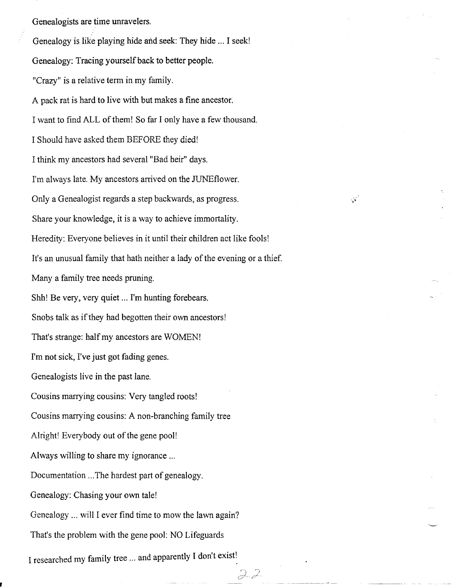Genealogists are time unravelers.

Genealogy is like playing hide and seek: They hide ... I seek! Genealogy: Tracing yourself back to better people. "Crazy" is a relative term in my family. A pack rat is hard to live with but makes a fine ancestor. I want to find ALL of them! So far I only have a few thousand. I Should have asked them BEFORE they died! I think my ancestors had several "Bad heir" days. I'm always late. My ancestors arrived on the JUNEflower. Only a Genealogist regards a step backwards, as progress. Share your knowledge, it is a way to achieve immortality. Heredity: Everyone believes in it until their children act like fools! It's an unusual family that hath neither a lady of the evening or a thief. Many a family tree needs pruning. Shh! Be very, very quiet ... I'm hunting forebears. Snobs talk as if they had begotten their own ancestors! That's strange: half my ancestors are WOMEN! I'm not sick, I've just got fading genes. Genealogists live in the past lane. Cousins marrying cousins: Very tangled roots! Cousins marrying cousins: A non-branching family tree Alright! Everybody out of the gene pool! Always willing to share my ignorance ... Documentation ...The hardest part of genealogy. Genealogy: Chasing your own tale! Genealogy ... will I ever find time to mow the lawn again? That's the problem with the gene pool: NO Lifeguards I researched my family tree ... and apparently I don't exist!

 $22$ 

 $\hat{\mathcal{N}}$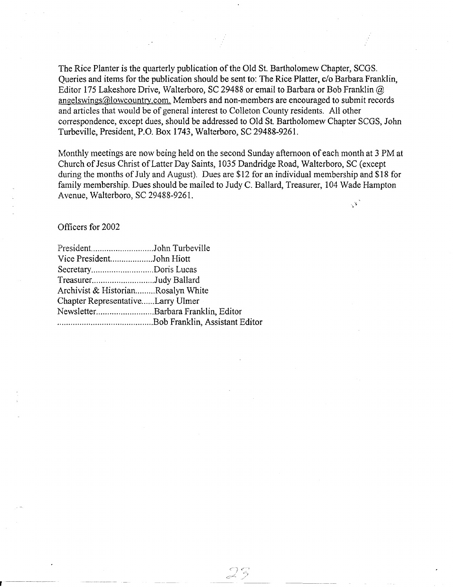The Rice Planter is the quarterly publication of the Old St. Bartholomew Chapter, SCGS. Queries and items for the publication should be sent to: The Rice Platter, c/o Barbara Franklin, Editor 175 Lakeshore Drive, Walterboro, SC 29488 or email to Barbara or Bob Franklin @ angelswings@lowcountry.com. Members and non-members are encouraged to submit records and articles that would be of general interest to Colleton County residents. All other correspondence, except dues, should be addressed to Old St. Bartholomew Chapter SCGS, John Turbeville, President, P.G. Box 1743, Walterboro, SC 29488-9261.

Monthly meetings are now being held on the second Sunday afternoon of each month at 3 PM at Church of Jesus Christ of Latter Day Saints, 1035 Dandridge Road, Walterboro, SC (except during the months of July and August). Dues are \$12 for an individual membership and \$18 for family membership. Dues should be mailed to Judy C. Ballard, Treasurer, 104 Wade Hampton Avenue, Walterboro, SC 29488-9261.  $\mathcal{E}_j$ 

Officers for 2002

| PresidentJohn Turbeville           |  |
|------------------------------------|--|
| Vice PresidentJohn Hiott           |  |
| SecretaryDoris Lucas               |  |
| TreasurerJudy Ballard              |  |
| Archivist & HistorianRosalyn White |  |
| Chapter RepresentativeLarry Ulmer  |  |
| NewsletterBarbara Franklin, Editor |  |
|                                    |  |